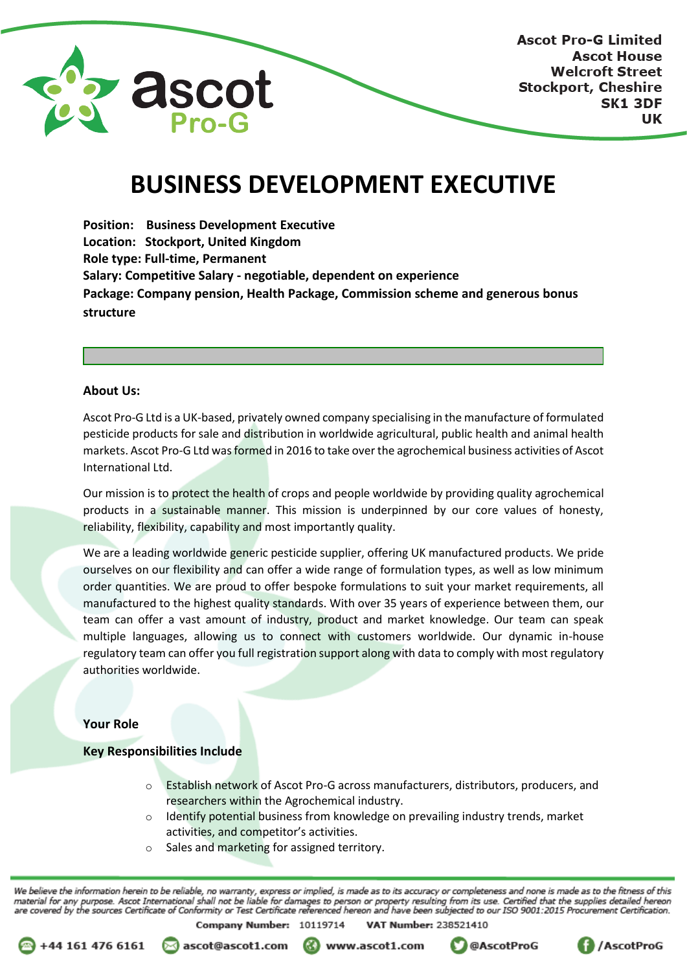

# **BUSINESS DEVELOPMENT EXECUTIVE**

**Position: Business Development Executive Location: Stockport, United Kingdom Role type: Full-time, Permanent Salary: Competitive Salary - negotiable, dependent on experience Package: Company pension, Health Package, Commission scheme and generous bonus structure**

### **About Us:**

Ascot Pro-G Ltd is a UK-based, privately owned company specialising in the manufacture of formulated pesticide products for sale and distribution in worldwide agricultural, public health and animal health markets. Ascot Pro-G Ltd was formed in 2016 to take over the agrochemical business activities of Ascot International Ltd.

Our mission is to protect the health of crops and people worldwide by providing quality agrochemical products in a sustainable manner. This mission is underpinned by our core values of honesty, reliability, flexibility, capability and most importantly quality.

We are a leading worldwide generic pesticide supplier, offering UK manufactured products. We pride ourselves on our flexibility and can offer a wide range of formulation types, as well as low minimum order quantities. We are proud to offer bespoke formulations to suit your market requirements, all manufactured to the highest quality standards. With over 35 years of experience between them, our team can offer a vast amount of industry, product and market knowledge. Our team can speak multiple languages, allowing us to connect with customers worldwide. Our dynamic in-house regulatory team can offer you full registration support along with data to comply with most regulatory authorities worldwide.

## **Your Role**

# **Key Responsibilities Include**

- Establish network of Ascot Pro-G across manufacturers, distributors, producers, and researchers within the Agrochemical industry.
- $\circ$  Identify potential business from knowledge on prevailing industry trends, market activities, and competitor's activities.
- Sales and marketing for assigned territory.

We believe the information herein to be reliable, no warranty, express or implied, is made as to its accuracy or completeness and none is made as to the fitness of this material for any purpose. Ascot International shall not be liable for damages to person or property resulting from its use. Certified that the supplies detailed hereon<br>are covered by the sources Certificate of Conformity o Company Number: 10119714 **VAT Number: 238521410** 



⊠ ascot@ascot1.com

www.ascot1.com